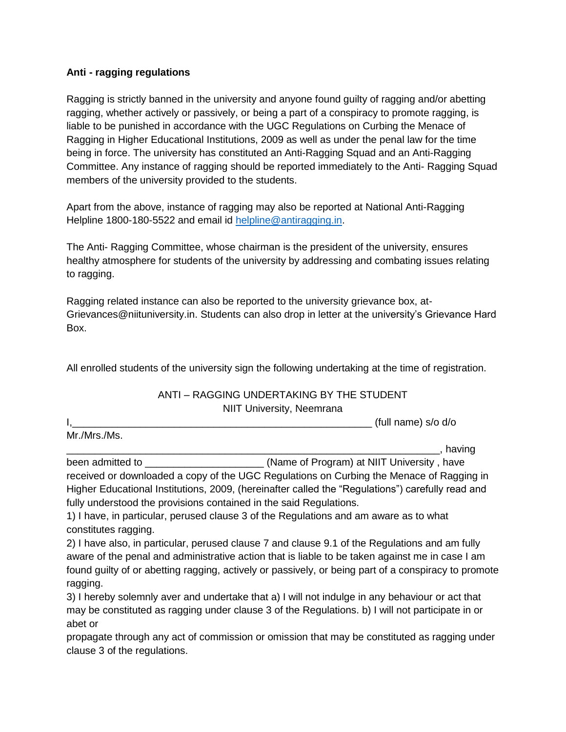## **Anti - ragging regulations**

Ragging is strictly banned in the university and anyone found guilty of ragging and/or abetting ragging, whether actively or passively, or being a part of a conspiracy to promote ragging, is liable to be punished in accordance with the UGC Regulations on Curbing the Menace of Ragging in Higher Educational Institutions, 2009 as well as under the penal law for the time being in force. The university has constituted an Anti-Ragging Squad and an Anti-Ragging Committee. Any instance of ragging should be reported immediately to the Anti- Ragging Squad members of the university provided to the students.

Apart from the above, instance of ragging may also be reported at National Anti-Ragging Helpline 1800-180-5522 and email id [helpline@antiragging.in.](mailto:helpline@antiragging.in)

The Anti- Ragging Committee, whose chairman is the president of the university, ensures healthy atmosphere for students of the university by addressing and combating issues relating to ragging.

Ragging related instance can also be reported to the university grievance box, at-Grievances@niituniversity.in. Students can also drop in letter at the university's Grievance Hard Box.

All enrolled students of the university sign the following undertaking at the time of registration.

## ANTI – RAGGING UNDERTAKING BY THE STUDENT NIIT University, Neemrana

|                  | (full name) s/o d/o                        |
|------------------|--------------------------------------------|
| Mr./Mrs./Ms.     |                                            |
|                  | having                                     |
| been admitted to | (Name of Program) at NIIT University, have |

received or downloaded a copy of the UGC Regulations on Curbing the Menace of Ragging in Higher Educational Institutions, 2009, (hereinafter called the "Regulations") carefully read and fully understood the provisions contained in the said Regulations.

1) I have, in particular, perused clause 3 of the Regulations and am aware as to what constitutes ragging.

2) I have also, in particular, perused clause 7 and clause 9.1 of the Regulations and am fully aware of the penal and administrative action that is liable to be taken against me in case I am found guilty of or abetting ragging, actively or passively, or being part of a conspiracy to promote ragging.

3) I hereby solemnly aver and undertake that a) I will not indulge in any behaviour or act that may be constituted as ragging under clause 3 of the Regulations. b) I will not participate in or abet or

propagate through any act of commission or omission that may be constituted as ragging under clause 3 of the regulations.